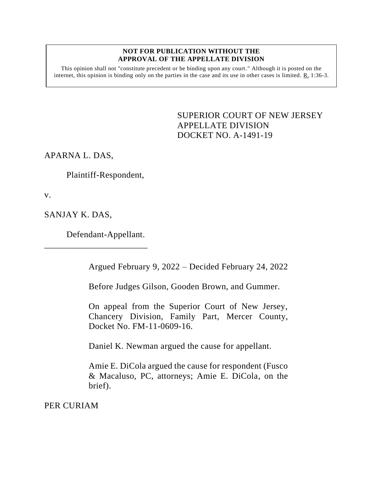## **NOT FOR PUBLICATION WITHOUT THE APPROVAL OF THE APPELLATE DIVISION**

This opinion shall not "constitute precedent or be binding upon any court." Although it is posted on the internet, this opinion is binding only on the parties in the case and its use in other cases is limited. R. 1:36-3.

> <span id="page-0-0"></span>SUPERIOR COURT OF NEW JERSEY APPELLATE DIVISION DOCKET NO. A-1491-19

APARNA L. DAS,

Plaintiff-Respondent,

v.

SANJAY K. DAS,

Defendant-Appellant.

\_\_\_\_\_\_\_\_\_\_\_\_\_\_\_\_\_\_\_\_\_\_\_

Argued February 9, 2022 – Decided February 24, 2022

Before Judges Gilson, Gooden Brown, and Gummer.

On appeal from the Superior Court of New Jersey, Chancery Division, Family Part, Mercer County, Docket No. FM-11-0609-16.

Daniel K. Newman argued the cause for appellant.

Amie E. DiCola argued the cause for respondent (Fusco & Macaluso, PC, attorneys; Amie E. DiCola, on the brief).

PER CURIAM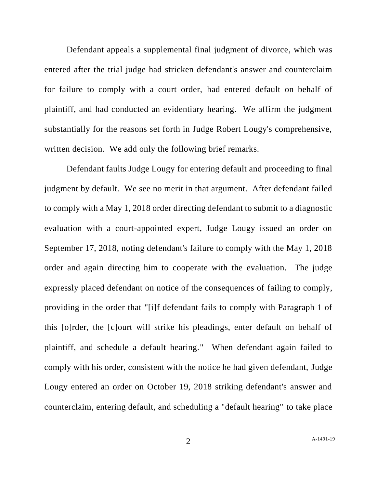Defendant appeals a supplemental final judgment of divorce, which was entered after the trial judge had stricken defendant's answer and counterclaim for failure to comply with a court order, had entered default on behalf of plaintiff, and had conducted an evidentiary hearing. We affirm the judgment substantially for the reasons set forth in Judge Robert Lougy's comprehensive, written decision. We add only the following brief remarks.

Defendant faults Judge Lougy for entering default and proceeding to final judgment by default. We see no merit in that argument. After defendant failed to comply with a May 1, 2018 order directing defendant to submit to a diagnostic evaluation with a court-appointed expert, Judge Lougy issued an order on September 17, 2018, noting defendant's failure to comply with the May 1, 2018 order and again directing him to cooperate with the evaluation. The judge expressly placed defendant on notice of the consequences of failing to comply, providing in the order that "[i]f defendant fails to comply with Paragraph 1 of this [o]rder, the [c]ourt will strike his pleadings, enter default on behalf of plaintiff, and schedule a default hearing." When defendant again failed to comply with his order, consistent with the notice he had given defendant, Judge Lougy entered an order on October 19, 2018 striking defendant's answer and counterclaim, entering default, and scheduling a "default hearing" to take place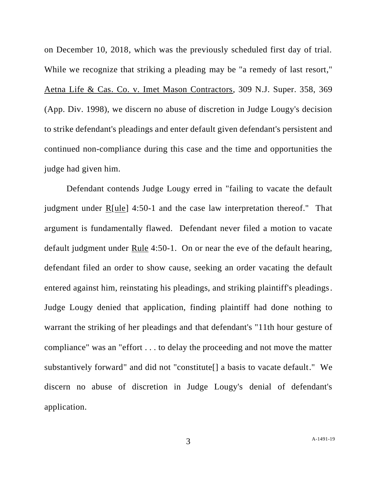on December 10, 2018, which was the previously scheduled first day of trial. While we recognize that striking a pleading may be "a remedy of last resort," Aetna Life & Cas. Co. v. Imet Mason Contractors, 309 N.J. Super. 358, 369 (App. Div. 1998), we discern no abuse of discretion in Judge Lougy's decision to strike defendant's pleadings and enter default given defendant's persistent and continued non-compliance during this case and the time and opportunities the judge had given him.

Defendant contends Judge Lougy erred in "failing to vacate the default judgment under R[ule] 4:50-1 and the case law interpretation thereof." That argument is fundamentally flawed. Defendant never filed a motion to vacate default judgment under Rule 4:50-1. On or near the eve of the default hearing, defendant filed an order to show cause, seeking an order vacating the default entered against him, reinstating his pleadings, and striking plaintiff's pleadings. Judge Lougy denied that application, finding plaintiff had done nothing to warrant the striking of her pleadings and that defendant's "11th hour gesture of compliance" was an "effort . . . to delay the proceeding and not move the matter substantively forward" and did not "constitute[] a basis to vacate default." We discern no abuse of discretion in Judge Lougy's denial of defendant's application.